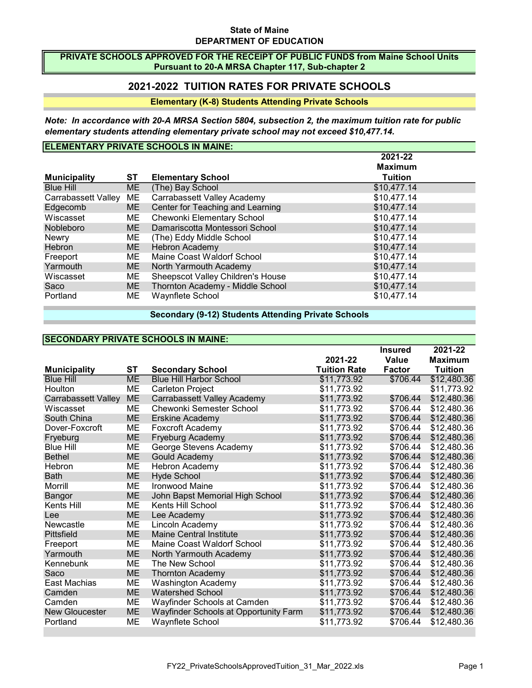#### State of Maine DEPARTMENT OF EDUCATION

#### PRIVATE SCHOOLS APPROVED FOR THE RECEIPT OF PUBLIC FUNDS from Maine School Units Pursuant to 20-A MRSA Chapter 117, Sub-chapter 2

## 2021-2022 TUITION RATES FOR PRIVATE SCHOOLS

### Elementary (K-8) Students Attending Private Schools

Note: In accordance with 20-A MRSA Section 5804, subsection 2, the maximum tuition rate for public elementary students attending elementary private school may not exceed \$10,477.14.

## ELEMENTARY PRIVATE SCHOOLS IN MAINE:

|                        |     |                                   | 2021-22        |
|------------------------|-----|-----------------------------------|----------------|
|                        |     |                                   | <b>Maximum</b> |
| <b>Municipality</b>    | ST  | <b>Elementary School</b>          | <b>Tuition</b> |
| <b>Blue Hill</b>       | ME. | (The) Bay School                  | \$10,477.14    |
| Carrabassett Valley ME |     | Carrabassett Valley Academy       | \$10,477.14    |
| Edgecomb               | ME. | Center for Teaching and Learning  | \$10,477.14    |
| Wiscasset              | ME. | Chewonki Elementary School        | \$10,477.14    |
| <b>Nobleboro</b>       | ME. | Damariscotta Montessori School    | \$10,477.14    |
| <b>Newry</b>           | ME. | (The) Eddy Middle School          | \$10,477.14    |
| <b>Hebron</b>          | ME. | <b>Hebron Academy</b>             | \$10,477.14    |
| Freeport               | ME  | Maine Coast Waldorf School        | \$10,477.14    |
| Yarmouth               | ME. | North Yarmouth Academy            | \$10,477.14    |
| Wiscasset              | ME  | Sheepscot Valley Children's House | \$10,477.14    |
| Saco                   | ME. | Thornton Academy - Middle School  | \$10,477.14    |
| Portland               | ME  | Waynflete School                  | \$10,477.14    |

Secondary (9-12) Students Attending Private Schools

## SECONDARY PRIVATE SCHOOLS IN MAINE:

|                            |           |                                       |                     | <b>Insured</b> | 2021-22        |
|----------------------------|-----------|---------------------------------------|---------------------|----------------|----------------|
|                            |           |                                       | 2021-22             | <b>Value</b>   | <b>Maximum</b> |
| <b>Municipality</b>        | ST        | <b>Secondary School</b>               | <b>Tuition Rate</b> | <b>Factor</b>  | <b>Tuition</b> |
| <b>Blue Hill</b>           | <b>ME</b> | <b>Blue Hill Harbor School</b>        | \$11,773.92         | \$706.44       | \$12,480.36    |
| Houlton                    | ME        | Carleton Project                      | \$11,773.92         |                | \$11,773.92    |
| <b>Carrabassett Valley</b> | <b>ME</b> | Carrabassett Valley Academy           | \$11,773.92         | \$706.44       | \$12,480.36    |
| Wiscasset                  | ME        | Chewonki Semester School              | \$11,773.92         | \$706.44       | \$12,480.36    |
| South China                | <b>ME</b> | Erskine Academy                       | \$11,773.92         | \$706.44       | \$12,480.36    |
| Dover-Foxcroft             | MЕ        | Foxcroft Academy                      | \$11,773.92         | \$706.44       | \$12,480.36    |
| Fryeburg                   | <b>ME</b> | Fryeburg Academy                      | \$11,773.92         | \$706.44       | \$12,480.36    |
| <b>Blue Hill</b>           | ME        | George Stevens Academy                | \$11,773.92         | \$706.44       | \$12,480.36    |
| <b>Bethel</b>              | <b>ME</b> | Gould Academy                         | \$11,773.92         | \$706.44       | \$12,480.36    |
| Hebron                     | ME        | Hebron Academy                        | \$11,773.92         | \$706.44       | \$12,480.36    |
| <b>Bath</b>                | <b>ME</b> | <b>Hyde School</b>                    | \$11,773.92         | \$706.44       | \$12,480.36    |
| Morrill                    | ME        | Ironwood Maine                        | \$11,773.92         | \$706.44       | \$12,480.36    |
| Bangor                     | <b>ME</b> | John Bapst Memorial High School       | \$11,773.92         | \$706.44       | \$12,480.36    |
| Kents Hill                 | ME        | Kents Hill School                     | \$11,773.92         | \$706.44       | \$12,480.36    |
| Lee                        | <b>ME</b> | Lee Academy                           | \$11,773.92         | \$706.44       | \$12,480.36    |
| Newcastle                  | ME        | Lincoln Academy                       | \$11,773.92         | \$706.44       | \$12,480.36    |
| Pittsfield                 | <b>ME</b> | <b>Maine Central Institute</b>        | \$11,773.92         | \$706.44       | \$12,480.36    |
| Freeport                   | ME        | Maine Coast Waldorf School            | \$11,773.92         | \$706.44       | \$12,480.36    |
| Yarmouth                   | <b>ME</b> | North Yarmouth Academy                | \$11,773.92         | \$706.44       | \$12,480.36    |
| Kennebunk                  | MЕ        | The New School                        | \$11,773.92         | \$706.44       | \$12,480.36    |
| Saco                       | <b>ME</b> | <b>Thornton Academy</b>               | \$11,773.92         | \$706.44       | \$12,480.36    |
| East Machias               | MЕ        | <b>Washington Academy</b>             | \$11,773.92         | \$706.44       | \$12,480.36    |
| Camden                     | <b>ME</b> | <b>Watershed School</b>               | \$11,773.92         | \$706.44       | \$12,480.36    |
| Camden                     | ME        | Wayfinder Schools at Camden           | \$11,773.92         | \$706.44       | \$12,480.36    |
| <b>New Gloucester</b>      | <b>ME</b> | Wayfinder Schools at Opportunity Farm | \$11,773.92         | \$706.44       | \$12,480.36    |
| Portland                   | MЕ        | Wavnflete School                      | \$11.773.92         | \$706.44       | \$12.480.36    |